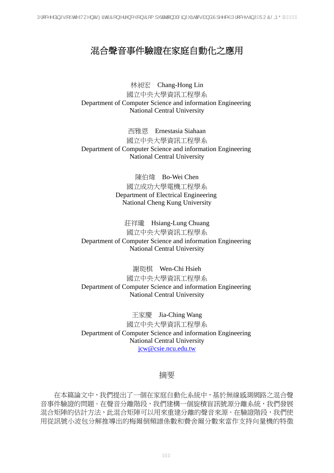# 混合聲音事件驗證在家庭自動化之應用

林昶宏 Chang-Hong Lin 國立中央大學資訊工程學系 Department of Computer Science and information Engineering National Central University

西雅恩 Ernestasia Siahaan 國立中央大學資訊工程學系 Department of Computer Science and information Engineering National Central University

> 陳伯煒 Bo-Wei Chen 國立成功大學電機工程學系 Department of Electrical Engineering National Cheng Kung University

莊祥瓏 Hsiang-Lung Chuang 國立中央大學資訊工程學系 Department of Computer Science and information Engineering National Central University

謝珳棋 Wen-Chi Hsieh 國立中央大學資訊工程學系 Department of Computer Science and information Engineering National Central University

王家慶 Jia-Ching Wang 國立中央大學資訊工程學系 Department of Computer Science and information Engineering National Central University jcw@csie.ncu.edu.tw

#### 摘要

在本篇論文中,我們提出了一個在家庭自動化系統中,基於無線感測網路之混合聲 音事件驗證的問題。在聲音分離階段,我們建構一個旋積盲訊號源分離系統,我們發展 混合矩陣的估計方法,此混合矩陣可以用來重建分離的聲音來源。在驗證階段,我們使 用從訊號小波包分解推導出的梅爾倒頻譜係數和費舍爾分數來當作支持向量機的特徵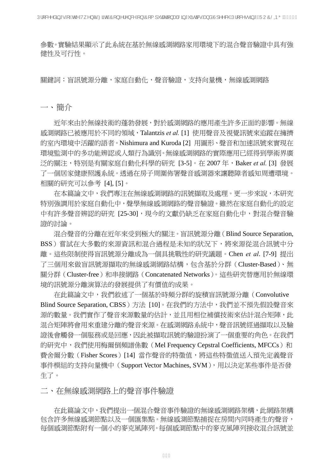參數。實驗結果顯示了此系統在基於無線感測網路家用環境下的混合聲音驗證中具有強 健性及可行性。

關鍵詞:盲訊號源分離,家庭自動化,聲音驗證,支持向量機,無線感測網路

一、簡介

近年來由於無線技術的蓬勃發展,對於感測網路的應用產生許多正面的影響。無線 感測網路已被應用於不同的領域,Talantzis *et al.* [1] 使用聲音及視覺訊號來追蹤在擁擠 的室內環境中活躍的語者。Nishimura and Kuroda [2] 用圖形、聲音和加速訊號來實現在 環境監測中的多功能辨認或人類行為識別。無線感測網路的實際應用已經得到學術界廣 泛的關注,特別是有關家庭自動化科學的研究 [3-5]。在 2007 年,Baker *et al.* [3] 發展 了一個居家健康照護系統。透過在房子周圍佈署聲音感測器來讓聽障者感知周遭環境。 相關的研究可以參考 [4], [5]。

在本篇論文中,我們專注在無線感測網路的訊號擷取及處理。更一步來說,本研究 特別強調用於家庭自動化中,聲學無線感測網路的聲音驗證。雖然在家庭自動化的設定 中有許多聲音辨認的研究 [25-30],現今的文獻仍缺乏在家庭自動化中,對混合聲音驗 證的討論。

 混合聲音的分離在近年來受到極大的關注。盲訊號源分離(Blind Source Separation, BSS)嘗試在大多數的來源資訊和混合過程是未知的狀況下,將來源從混合訊號中分 離。這些限制使得盲訊號源分離成為一個具挑戰性的研究議題。Chen *et al*. [7-9] 提出 了三個用來做盲訊號源擷取的無線感測網路結構,包含基於分群(Cluster-Based)、無 關分群(Cluster-free)和串接網路(Concatenated Networks)。這些研究替應用於無線環 境的訊號源分離演算法的發展提供了有價值的成果。

 在此篇論文中,我們敘述了一個基於時頻分群的旋積盲訊號源分離(Convolutive Blind Source Separation, CBSS)方法 [10]。在我們的方法中,我們並不預先假設聲音來 源的數量。我們實作了聲音來源數量的估計,並且用相位補償技術來估計混合矩陣,此 混合矩陣將會用來重建分離的聲音來源。在感測網路系統中,聲音訊號經過擷取以及驗 證後會觸發一個服務或是回應,因此被擷取訊號的驗證扮演了一個重要的角色。在我們 的研究中,我們使用梅爾倒頻譜係數(Mel Frequency Cepstral Coefficients, MFCCs)和 費舍爾分數 (Fisher Scores) [14] 當作聲音的特徵值,將這些特徵值送入預先定義聲音 事件模組的支持向量機中 (Support Vector Machines, SVM), 用以決定某些事件是否發 生了。

二、在無線感測網路上的聲音事件驗證

在此篇論文中,我們提出一個混合聲音事件驗證的無線感測網路架構,此網路架構 包含許多無線感測節點以及一個匯集點。無線感測節點捕捉在房間內同時產生的聲音, 每個感測節點附有一個小的麥克風陣列。每個感測節點中的麥克風陣列接收混合訊號並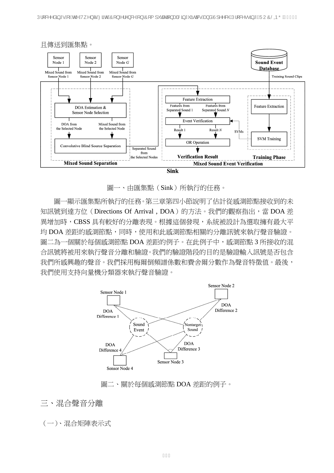UIRA^åã \*•ÁÁÁ@Á/^}c^BZão@ÁOF}~}A'^}&YÁ}ÁÔF{I "castã}a4ÁŠã \* "ãœãkeÁsàåÂJ1^^&@ÁJI;I&^••ã \*ÁGÜUÔŠODŐÁGEFHE



圖一、由匯集點(Sink)所執行的任務。

圖一顯示匯集點所執行的任務。第三章第四小節說明了估計從感測節點接收到的未 知訊號到達方位 (Directions Of Arrival, DOA)的方法。我們的觀察指出,當 DOA 差 異增加時,CBSS 具有較好的分離表現。根據這個發現,系統被設計為選取擁有最大平 均 DOA 差距的感測節點,同時,使用和此感測節點相關的分離訊號來執行聲音驗證。 圖二為一個關於每個感測節點 DOA 差距的例子。在此例子中,感測節點 3 所接收的混 合訊號將被用來執行聲音分離和驗證。我們的驗證階段的目的是驗證輸入訊號是否包含 我們所感興趣的聲音。我們採用梅爾倒頻譜係數和費舍爾分數作為聲音特徵值。最後, 我們使用支持向量機分類器來執行聲音驗證。



圖二、關於每個感測節點 DOA 差距的例子。

三、混合聲音分離

(一)、混合矩陣表示式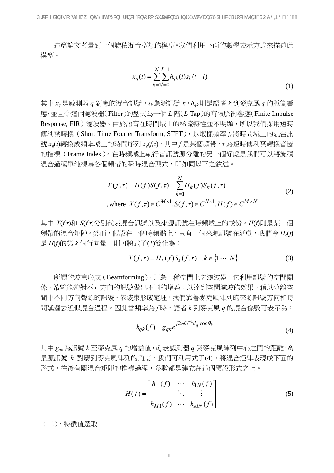UIRM<sub>a</sub> \* • Á ÁQ Á/ N c ÉZ TO QÚ LAIN & A ) Á D (1 ' capa ) a Á Ta a R Á a a Á J M & QÚ L & • • a \* Á TU Ó SOP Ő ÁGEFHE

這篇論文考量到一個旋積混合型態的模型。我們利用下面的數學表示方式來描述此 模型。

$$
x_q(t) = \sum_{k=1}^{N} \sum_{l=0}^{L-1} h_{qk}(l)s_k(t-l)
$$
\n(1)

其中 *xq* 是感測器 *q* 對應的混合訊號,*sk*為源訊號 *k*,*hqk* 則是語者 *k* 到麥克風 *q* 的脈衝響 應,並且令這個濾波器(Filter)的型式為一個 *L* 階(*L*-Tap)的有限脈衝響應(Finite Impulse Response, FIR) 濾波器。由於語音在時間域上的稀疏特性並不明顯,所以我們採用短時 傳利葉轉換 (Short Time Fourier Transform, STFT), 以取樣頻率 fs將時間域上的混合訊 號 *xq*(*t*)轉換成頻率域上的時間序列 *xq*(*f,τ*),其中 *f* 是某個頻帶,*τ* 為短時傅利葉轉換音窗 的指標(Frame Index)。在時頻域上執行盲訊號源分離的另一個好處是我們可以將旋積 混合過程單純視為各個頻帶的瞬時混合型式,即如同以下之敘述。

$$
X(f, \tau) = H(f)S(f, \tau) = \sum_{k=1}^{N} H_k(f)S_k(f, \tau)
$$
  
, where  $X(f, \tau) \in C^{M \times 1}, S(f, \tau) \in C^{N \times 1}, H(f) \in C^{M \times N}$  (2)

其中 *X*(*f,τ*)和 *S*(*f,τ*)分別代表混合訊號以及來源訊號在時頻域上的成份。*H*(*f*)則是某一個 頻帶的混合矩陣。然而,假設在一個時頻點上,只有一個來源訊號在活動,我們令 *Hk*(*f*) 是 *H*(*f*)的第 *k* 個行向量,則可將式子(2)簡化為:

$$
X(f,\tau) = H_k(f)S_k(f,\tau) \quad, k \in \{1, \cdots, N\}
$$
 (3)

所謂的波束形成(Beamforming),即為一種空間上之濾波器,它利用訊號的空間關 係,希望能夠對不同方向的訊號做出不同的增益,以達到空間濾波的效果,藉以分離空 間中不同方向聲源的訊號。依波束形成定理,我們靠著麥克風陣列的來源訊號方向和時 間延遲去近似混合過程。因此當頻率為 *f* 時,語者 *k* 到麥克風 *q* 的混合係數可表示為:

$$
h_{qk}(f) = g_{qk}e^{j2\pi fc^{-1}d_q\cos\theta_k}
$$
\n<sup>(4)</sup>

其中 *gqk*為訊號 *k* 至麥克風 *q* 的增益值,*dq*表感測器 *q* 與麥克風陣列中心之間的距離,*θ<sup>k</sup>* 是源訊號 k 對應到麥克風陣列的角度。我們可利用式子(4),將混合矩陣表現成下面的 形式,往後有關混合矩陣的推導過程,多數都是建立在這個預設形式之上。

$$
H(f) = \begin{bmatrix} h_{11}(f) & \cdots & h_{1N}(f) \\ \vdots & \ddots & \vdots \\ h_{M1}(f) & \cdots & h_{MN}(f) \end{bmatrix}
$$
 (5)

(二)、特徵值選取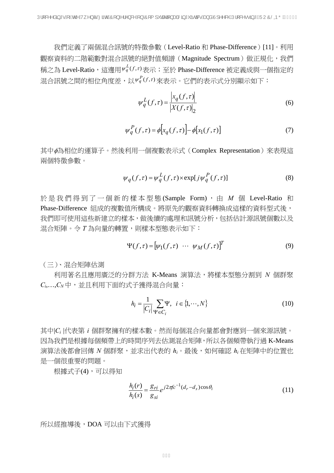我們定義了兩個混合訊號的特徵參數(Level-Ratio 和 Phase-Difference)[11]。利用 觀察資料的二階範數對混合訊號的絕對值頻譜(Magnitude Spectrum)做正規化,我們 稱之為 Level-Ratio,這邊用Ψ $_q^L(f,\tau)$ 表示;至於 Phase-Difference 被定義成與一個指定的 混合訊號之間的相位角度差,以 $\mathsf{v}^{\mathsf{P}}_q(f,r)$ 來表示。它們的表示式分別顯示如下:

$$
\psi_q^L(f,\tau) = \frac{\left| x_q(f,\tau) \right|}{\left| X(f,\tau) \right|_2} \tag{6}
$$

$$
\psi_q^P(f,\tau) = \phi[x_q(f,\tau)] - \phi[x_1(f,\tau)]\tag{7}
$$

其中φ為相位的運算子。然後利用一個複數表示式(Complex Representation)來表現這 兩個特徵參數。

$$
\psi_q(f,\tau) = \psi_q^L(f,\tau) \times \exp[j\psi_q^P(f,\tau)] \tag{8}
$$

於是我們得到了一個新的樣本型態 (Sample Form) , 由 *M* 個 Level-Ratio 和 Phase-Difference 組成的複數值所構成。將原先的觀察資料轉換成這樣的資料型式後, 我們即可使用這些新建立的樣本,做後續的處理和訊號分析,包括估計源訊號個數以及 混合矩陣。令 *T* 為向量的轉置,則樣本型態表示如下:

$$
\Psi(f,\tau) = [\psi_1(f,\tau) \cdots \psi_M(f,\tau)]^T
$$
\n(9)

(三)、混合矩陣估測

 利用著名且應用廣泛的分群方法 K-Means 演算法,將樣本型態分割到 *N* 個群聚 *Ci*,…,*CN*中,並且利用下面的式子獲得混合向量:

$$
h_i = \frac{1}{|C_i|} \sum_{\Psi \in C_i} \Psi, \quad i \in \{1, \cdots, N\}
$$
\n(10)

其中|*Ci* |代表第 *i* 個群聚擁有的樣本數。然而每個混合向量都會對應到一個來源訊號。 因為我們是根據每個頻帶上的時間序列去估測混合矩陣,所以各個頻帶執行過 K-Means 演算法後都會回傳 *N* 個群聚,並求出代表的 *hi*。最後,如何確認 *hi* 在矩陣中的位置也 是一個很重要的問題。

根據式子(4),可以得知

$$
\frac{h_i(r)}{h_i(s)} = \frac{g_{ri}}{g_{si}} e^{j2\pi f c^{-1}(d_r - d_s)\cos\theta_i}
$$
\n(11)

所以經推導後,DOA 可以由下式獲得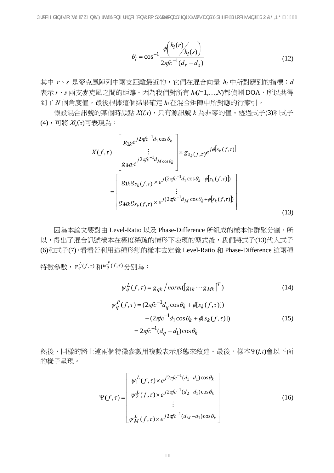$$
\theta_i = \cos^{-1} \frac{\phi\left(\frac{h_i(r)}{h_i(s)}\right)}{2\pi f c^{-1} (d_r - d_s)}
$$
(12)

其中 *r*、*s* 是麥克風陣列中兩支距離最近的,它們在混合向量 *hi* 中所對應到的指標;*d* 表示 *r*、*s* 兩支麥克風之間的距離。因為我們對所有 *hi*(*i*=1,…,*N*)都偵測 DOA,所以共得 到了 *N* 個角度值。最後根據這個結果確定 *hi*在混合矩陣中所對應的行索引。

 假設混合訊號的某個時頻點 *X*(*f,τ*),只有源訊號 *k* 為非零的值。透過式子(3)和式子 (4),可將 *X*(*f,τ*)可表現為:

$$
X(f,\tau) = \begin{bmatrix} g_{1k}e^{j2\pi f c^{-1}d_1\cos\theta_k} \\ \vdots \\ g_{Mk}e^{j2\pi f c^{-1}d_{M\cos\theta_k}} \end{bmatrix} \times g_{s_k(f,\tau)}e^{j\phi[s_k(f,\tau)]}
$$

$$
= \begin{bmatrix} g_{1k}g_{s_k(f,\tau)} \times e^{j(2\pi f c^{-1}d_1\cos\theta_k + \phi[s_k(f,\tau)])} \\ \vdots \\ g_{Mk}g_{s_k(f,\tau)} \times e^{j(2\pi f c^{-1}d_M\cos\theta_k + \phi[s_k(f,\tau)])} \end{bmatrix}
$$
(13)

因為本論文要對由 Level-Ratio 以及 Phase-Difference 所組成的樣本作群聚分割。所 以,得出了混合訊號樣本在極度稀疏的情形下表現的型式後,我們將式子(13)代入式子 (6)和式子(7),看看若利用這種形態的樣本去定義 Level-Ratio 和 Phase-Difference 這兩種 特徵參數, $\psi_q^L(f,\tau)$ 和 $\psi_q^P(f,\tau)$ 分別為:

$$
\psi_q^L(f, \tau) = g_{qk} / norm([g_{1k} \cdots g_{Mk}]^T)
$$
\n
$$
\psi_q^P(f, \tau) = (2\pi fc^{-1}d_q \cos \theta_k + \phi[s_k(f, \tau)])
$$
\n
$$
- (2\pi fc^{-1}d_1 \cos \theta_k + \phi[s_k(f, \tau)])
$$
\n
$$
= 2\pi fc^{-1}(d_q - d_1)\cos \theta_k
$$
\n(15)

然後,同樣的將上述兩個特徵參數用複數表示形態來敘述。最後,樣本Ψ(*f,τ*)會以下面 的樣子呈現。

$$
\Psi(f,\tau) = \begin{bmatrix} \psi_1^L(f,\tau) \times e^{j2\pi f c^{-1}(d_1 - d_1)\cos\theta_k} \\ \psi_2^L(f,\tau) \times e^{j2\pi f c^{-1}(d_2 - d_1)\cos\theta_k} \\ \vdots \\ \psi_M^L(f,\tau) \times e^{j2\pi f c^{-1}(d_M - d_1)\cos\theta_k} \end{bmatrix}
$$
(16)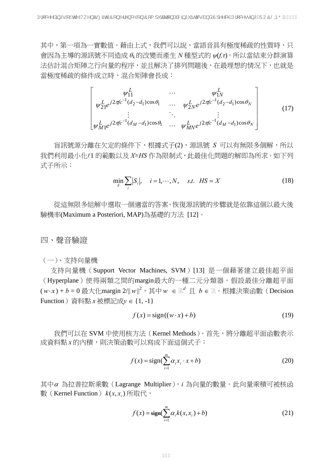其中, 第一項為一實數值。藉由上式, 我們可以說, 當語音具有極度稀疏的性質時, 只 會因為主導的源訊號不同造成 *θ<sup>k</sup>* 的改變而產生 *N* 種型式的 *ψ*(*f,τ*)。所以當結束分群演算 法估計混合矩陣之行向量的程序,並且解決了排列問題後,在最理想的情況下,也就是 當極度稀疏的條件成立時,混合矩陣會長成:

$$
\begin{bmatrix}\n\psi_{11}^{L} & \cdots & \psi_{1N}^{L} \\
\psi_{21}^{L}e^{j2\pi f c^{-1}(d_{2}-d_{1})\cos\theta_{1}} & \cdots & \psi_{2N}^{L}e^{j2\pi f c^{-1}(d_{2}-d_{1})\cos\theta_{N}} \\
\vdots & \ddots & \vdots \\
\psi_{M1}^{L}e^{j2\pi f c^{-1}(d_{M}-d_{1})\cos\theta_{1}} & \cdots & \psi_{MN}^{L}e^{j2\pi f c^{-1}(d_{M}-d_{1})\cos\theta_{N}}\n\end{bmatrix}
$$
\n(17)

盲訊號源分離在欠定的條件下,根據式子(2),源訊號 *S* 可以有無限多個解,所以 我們利用最小化*l*1 的範數以及 *X=HS* 作為限制式, 此最佳化問題的解即為所求。如下列 式子所示:

$$
\min_{S} \sum_{i} |S_i|, \quad i = 1, \cdots, N, \quad s.t. \quad HS = X \tag{18}
$$

從這無限多組解中選取一個適當的答案。恢復源訊號的步驟就是依靠這個以最大後 驗機率(Maximum a Posteriori, MAP)為基礎的方法 [12]。

四、聲音驗證

#### (一)、支持向量機

支持向量機 (Support Vector Machines, SVM) [13] 是一個藉著建立最佳超平面 (Hyperplane)使得兩類之間的margin最大的一種二元分類器。假設最佳分離超平面 ( $w \cdot x$ ) + *b* = 0 最大化margin 2/|| $w||^2$ ,其中 $w ∈ ℝ^d ⊥ b ∈ ℝ ∘$ 根據決策函數(Decision Function)資料點 *x* 被標記成*y* ∈ {1, -1}

$$
f(x) = sign((w \cdot x) + b)
$$
 (19)

我們可以在 SVM 中使用核方法 (Kernel Methods)。首先,將分離超平面函數表示 成資料點 x 的内積,則決策函數可以寫成下面這個式子:

$$
f(x) = sign(\sum_{i=1}^{m} \alpha_i x_i \cdot x + b)
$$
 (20)

其中<sup>α</sup> 為拉普拉斯乘數(Lagrange Multiplier),*i* 為向量的數量。此向量乘積可被核函 數(Kernel Function)  $k(x, x_i)$ 所取代,

$$
f(x) = \operatorname{sign}(\sum_{i=1}^{m} \alpha_i k(x, x_i) + b)
$$
 (21)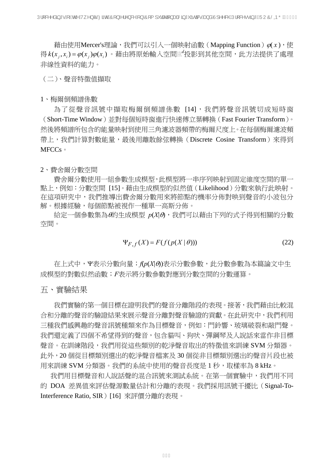藉由使用Mercer's理論,我們可以引入一個映射函數(Mapping Function) $\varphi(x)$ ,使 得 $k(x_{j}, x_{i}) = \varphi(x_{j})\varphi(x_{i})$ 。藉由將原始輸入空間 $\mathbb{R}^{d}$ 投影到其他空間,此方法提供了處理 非線性資料的能力。

(二)、聲音特徵值擷取

1、梅爾倒頻譜係數

為了從聲音訊號中擷取梅爾倒頻譜係數 [14],我們將聲音訊號切成短時窗 (Short-Time Window)並對每個短時窗進行快速傅立葉轉換(Fast Fourier Transform)。 然後將頻譜所包含的能量映射到使用三角濾波器頻帶的梅爾尺度上。在每個梅爾濾波頻 帶上,我們計算對數能量,最後用離散餘弦轉換 (Discrete Cosine Transform) 來得到 MFCCs。

2、費舍爾分數空間

費舍爾分數使用一組參數生成模型,此模型將一串序列映射到固定維度空間的單一 點上,例如:分數空間 [15]。藉由生成模型的似然值(Likelihood)分數來執行此映射。 在這項研究中,我們推導出費舍爾分數用來將節點的機率分佈對映到聲音的小波包分 解。根據經驗,每個節點被視作一種單一高斯分佈。

 給定一個參數集為θ的生成模型 *p*(*X*|θ),我們可以藉由下列的式子得到相關的分數 空間。

$$
\Psi_{F,f}(X) = F(f(p(X \mid \theta)))\tag{22}
$$

 在上式中,Ψ表示分數向量;*f*(*p*(*X*|θ))表示分數參數,此分數參數為本篇論文中生 成模型的對數似然函數;*F*表示將分數參數對應到分數空間的分數運算。

五、實驗結果

我們實驗的第一個目標在證明我們的聲音分離階段的表現。接著,我們藉由比較混 合和分離的聲音的驗證結果來展示聲音分離對聲音驗證的貢獻。在此研究中,我們利用 三種我們感興趣的聲音訊號種類來作為目標聲音,例如:門鈴響、玻璃破裂和敲門聲。 我們還定義了四個不希望得到的聲音,包含貓叫、狗吠、彈鋼琴及人說話來當作非目標 聲音。在訓練階段,我們用從這些類別的乾淨聲音取出的特徵值來訓練 SVM 分類器。 此外,20 個從目標類別選出的乾淨聲音檔案及 30 個從非目標類別選出的聲音片段也被 用來訓練 SVM 分類器。我們的系統中使用的聲音長度是 1 秒,取樣率為 8 kHz。

我們用目標聲音和人說話聲的混合訊號來測試系統。在第一個實驗中,我們用不同 的 DOA 差異值來評估聲源數量估計和分離的表現。我們採用訊號干擾比(Signal-To-Interference Ratio, SIR ) [16] 來評價分離的表現。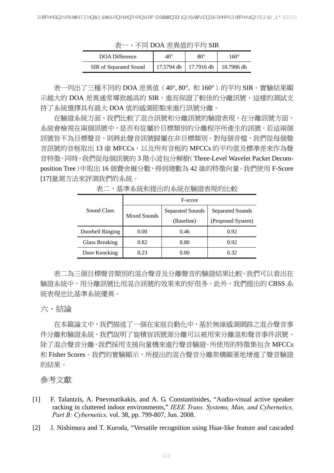表一、不同 DOA 差異值的平均 SIR

| DOA Difference         | 40°        | 80°        | 160°       |
|------------------------|------------|------------|------------|
| SIR of Separated Sound | 17.5794 db | 17.7916 db | 18.7986 db |

表一列出了三種不同的 DOA 差異值 (40°, 80°, 和 160°) 的平均 SIR。實驗結果顯 示越大的 DOA 差異通常導致越高的 SIR, 進而保證了較佳的分離訊號。這樣的測試支 持了系統選擇具有最大 DOA 值的感測節點來進行訊號分離。

在驗證系統方面,我們比較了混合訊號和分離訊號的驗證表現。在分離訊號方面, 系統會檢視在兩個訊號中,是否有從屬於目標類別的分離程序所產生的訊號。若這兩個 訊號皆不為目標聲音,則將此聲音訊號歸屬在非目標類別。對每個音檔,我們從每個聲 音訊號的音框取出 13 維 MFCCs,以及所有音框的 MFCCs 的平均值及標準差來作為聲 音特徵。同時,我們從每個訊號的 3 階小波包分解樹(Three-Level Wavelet Packet Decomposition Tree)中取出 16個費舍爾分數, 得到總數為 42 維的特徵向量。我們使用 F-Score [17]量測方法來評測我們的系統。

|                  | F-score      |                         |                         |  |
|------------------|--------------|-------------------------|-------------------------|--|
| Sound Class      | Mixed Sounds | <b>Separated Sounds</b> | <b>Separated Sounds</b> |  |
|                  |              | (Baseline)              | (Proposed System)       |  |
| Doorbell Ringing | 0.00         | 0.46                    | 0.92                    |  |
| Glass Breaking   | 0.82         | 0.80                    | 0.92                    |  |
| Door Knocking    | 0.23         | 0.00                    | 0.32                    |  |

表二、基準系統和提出的系統在驗證表現的比較

表二為三個目標聲音類別的混合聲音及分離聲音的驗證結果比較。我們可以看出在 驗證系統中,用分離訊號比用混合訊號的效果來的好很多。此外,我們提出的 CBSS 系 統表現也比基準系統優異。

## 六、結論

在本篇論文中,我們描述了一個在家庭自動化中,基於無線感測網路之混合聲音事 件分離和驗證系統。我們說明了旋積盲訊號源分離可以被用來分離混和聲音事件訊號。 除了混合聲音分離,我們採用支援向量機來進行聲音驗證。所使用的特徵集包含 MFCCs 和 Fisher Scores。我們的實驗顯示,所提出的混合聲音分離架構顯著地增進了聲音驗證 的結果。

### 參考文獻

- [1] F. Talantzis, A. Pnevmatikakis, and A. G. Constantinides, "Audio-visual active speaker racking in cluttered indoor environments," *IEEE Trans. Systems, Man, and Cybernetics, Part B: Cybernetics,* vol. 38, pp. 799-807, Jun. 2008.
- [2] J. Nishimura and T. Kuroda, "Versatile recognition using Haar-like feature and cascaded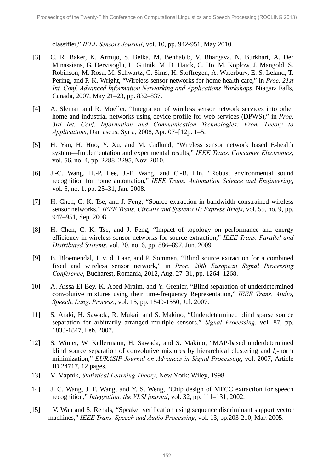classifier," *IEEE Sensors Journal*, vol. 10, pp. 942-951, May 2010.

- [3] C. R. Baker, K. Armijo, S. Belka, M. Benhabib, V. Bhargava, N. Burkhart, A. Der Minassians, G. Dervisoglu, L. Gutnik, M. B. Haick, C. Ho, M. Koplow, J. Mangold, S. Robinson, M. Rosa, M. Schwartz, C. Sims, H. Stoffregen, A. Waterbury, E. S. Leland, T. Pering, and P. K. Wright, "Wireless sensor networks for home health care," in *Proc*. *21st Int. Conf. Advanced Information Networking and Applications Workshops*, Niagara Falls, Canada, 2007, May 21–23, pp. 832–837.
- [4] A. Sleman and R. Moeller, "Integration of wireless sensor network services into other home and industrial networks using device profile for web services (DPWS)," in *Proc*. *3rd Int. Conf. Information and Communication Technologies: From Theory to Applications*, Damascus, Syria, 2008, Apr. 07–[12p. 1–5.
- [5] H. Yan, H. Huo, Y. Xu, and M. Gidlund, "Wireless sensor network based E-health system—Implementation and experimental results," *IEEE Trans. Consumer Electronics*, vol. 56, no. 4, pp. 2288–2295, Nov. 2010.
- [6] J.-C. Wang, H.-P. Lee, J.-F. Wang, and C.-B. Lin, "Robust environmental sound recognition for home automation," *IEEE Trans. Automation Science and Engineering*, vol. 5, no. 1, pp. 25–31, Jan. 2008.
- [7] H. Chen, C. K. Tse, and J. Feng, "Source extraction in bandwidth constrained wireless sensor networks," *IEEE Trans. Circuits and Systems II: Express Briefs*, vol. 55, no. 9, pp. 947–951, Sep. 2008.
- [8] H. Chen, C. K. Tse, and J. Feng, "Impact of topology on performance and energy efficiency in wireless sensor networks for source extraction," *IEEE Trans. Parallel and Distributed Systems*, vol. 20, no. 6, pp. 886–897, Jun. 2009.
- [9] B. Bloemendal, J. v. d. Laar, and P. Sommen, "Blind source extraction for a combined fixed and wireless sensor network," in *Proc*. *20th European Signal Processing Conference*, Bucharest, Romania, 2012, Aug. 27–31, pp. 1264–1268.
- [10] A. Aissa-El-Bey, K. Abed-Mraim, and Y. Grenier, "Blind separation of underdetermined convolutive mixtures using their time-frequency Representation," *IEEE Trans*. *Audio*, *Speech*, *Lang*. *Process*., vol. 15, pp. 1540-1550, Jul. 2007.
- [11] S. Araki, H. Sawada, R. Mukai, and S. Makino, "Underdetermined blind sparse source separation for arbitrarily arranged multiple sensors," *Signal Processing*, vol. 87, pp. 1833-1847, Feb. 2007.
- [12] S. Winter, W. Kellermann, H. Sawada, and S. Makino, "MAP-based underdetermined blind source separation of convolutive mixtures by hierarchical clustering and  $l_1$ -norm minimization," *EURASIP Journal on Advances in Signal Processing*, vol. 2007, Article ID 24717, 12 pages.
- [13] V. Vapnik, *Statistical Learning Theory*, New York: Wiley, 1998.
- [14] J. C. Wang, J. F. Wang, and Y. S. Weng, "Chip design of MFCC extraction for speech recognition," *Integration, the VLSI journal*, vol. 32, pp. 111–131, 2002.
- [15] V. Wan and S. Renals, "Speaker verification using sequence discriminant support vector machines," *IEEE Trans. Speech and Audio Processing*, vol. 13, pp.203-210, Mar. 2005.